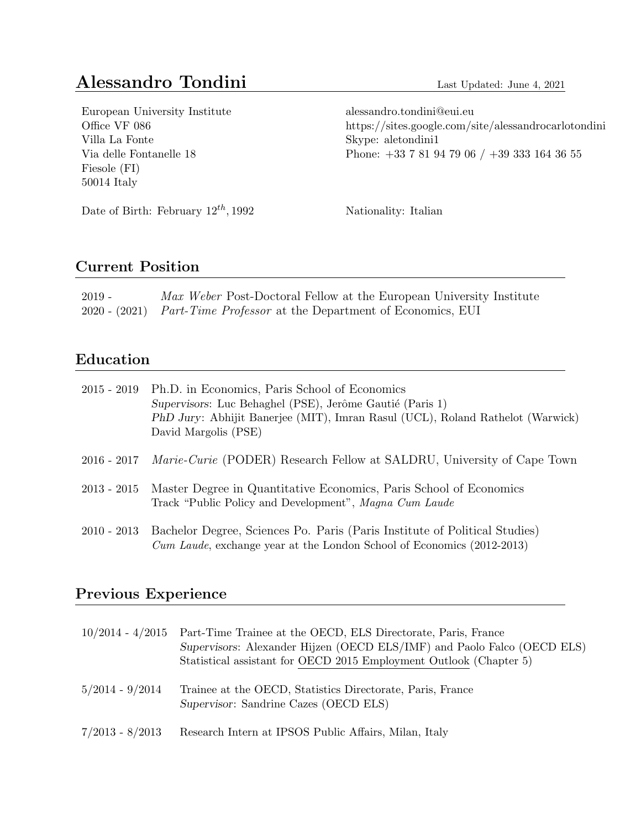# Alessandro Tondini Last Updated: June 4, 2021

| European University Institute            | alessandro.tondini@eui.eu                            |
|------------------------------------------|------------------------------------------------------|
| Office VF 086                            | https://sites.google.com/site/alessandrocarlotondini |
| Villa La Fonte                           | Skype: aletondini1                                   |
| Via delle Fontanelle 18                  | Phone: $+33$ 7 81 94 79 06 / $+39$ 333 164 36 55     |
| Fiesole (FI)                             |                                                      |
| $50014$ Italy                            |                                                      |
|                                          |                                                      |
| Date of Birth: February $12^{th}$ , 1992 | Nationality: Italian                                 |
|                                          |                                                      |
|                                          |                                                      |

# Current Position

| $2019 -$ | Max Weber Post-Doctoral Fellow at the European University Institute   |
|----------|-----------------------------------------------------------------------|
|          | 2020 - (2021) Part-Time Professor at the Department of Economics, EUI |

# Education

|               | 2015 - 2019 Ph.D. in Economics, Paris School of Economics<br>Supervisors: Luc Behaghel (PSE), Jerôme Gautié (Paris 1)<br>PhD Jury: Abhijit Banerjee (MIT), Imran Rasul (UCL), Roland Rathelot (Warwick)<br>David Margolis (PSE) |
|---------------|---------------------------------------------------------------------------------------------------------------------------------------------------------------------------------------------------------------------------------|
| $2016 - 2017$ | <i>Marie-Curie</i> (PODER) Research Fellow at SALDRU, University of Cape Town                                                                                                                                                   |
| $2013 - 2015$ | Master Degree in Quantitative Economics, Paris School of Economics<br>Track "Public Policy and Development", Magna Cum Laude                                                                                                    |
| $2010 - 2013$ | Bachelor Degree, Sciences Po. Paris (Paris Institute of Political Studies)<br>Cum Laude, exchange year at the London School of Economics (2012-2013)                                                                            |

# Previous Experience

| $10/2014 - 4/2015$ | Part-Time Trainee at the OECD, ELS Directorate, Paris, France<br>Supervisors: Alexander Hijzen (OECD ELS/IMF) and Paolo Falco (OECD ELS)<br>Statistical assistant for OECD 2015 Employment Outlook (Chapter 5) |
|--------------------|----------------------------------------------------------------------------------------------------------------------------------------------------------------------------------------------------------------|
| $5/2014 - 9/2014$  | Trainee at the OECD, Statistics Directorate, Paris, France<br>Supervisor: Sandrine Cazes (OECD ELS)                                                                                                            |
| $7/2013 - 8/2013$  | Research Intern at IPSOS Public Affairs, Milan, Italy                                                                                                                                                          |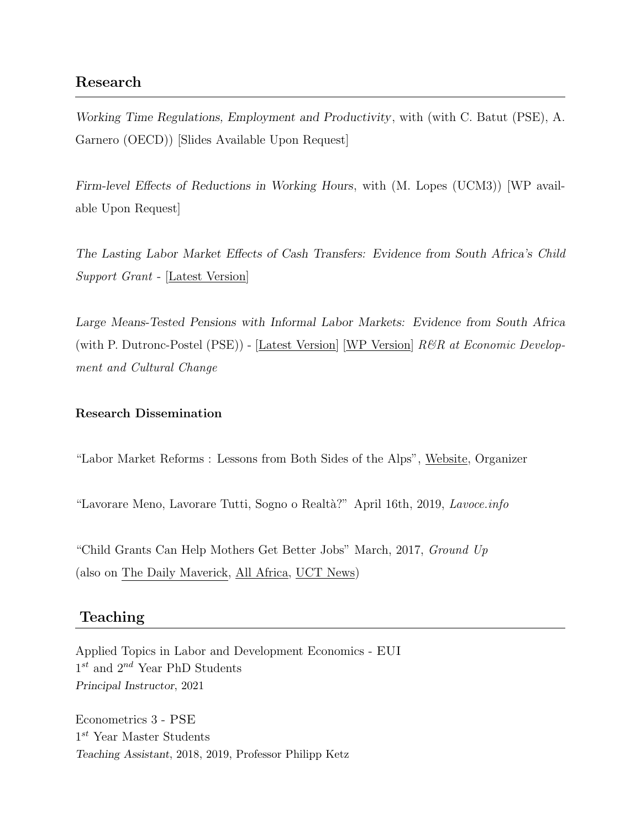## Research

Working Time Regulations, Employment and Productivity, with (with C. Batut (PSE), A. Garnero (OECD)) [Slides Available Upon Request]

Firm-level Effects of Reductions in Working Hours, with (M. Lopes (UCM3)) [WP available Upon Request]

The Lasting Labor Market Effects of Cash Transfers: Evidence from South Africa's Child Support Grant - [\[Latest Version\]](https://sites.google.com/site/alessandrocarlotondini/research)

Large Means-Tested Pensions with Informal Labor Markets: Evidence from South Africa (with P. Dutronc-Postel (PSE)) -  $|\text{Latest Version}|$  [\[WP Version\]](http://www.opensaldru.uct.ac.za/handle/11090/868)  $R\&R$  at Economic Development and Cultural Change

#### Research Dissemination

"Labor Market Reforms : Lessons from Both Sides of the Alps", [Website,](https://www.parisschoolofeconomics.eu/en/news/june-7-workshop-on-labor-market-reforms-lessons-from-both-sides-of-the-alps/) Organizer

"Lavorare Meno, Lavorare Tutti, Sogno o Realtà?" April 16th, 2019, Lavoce.info

["Child Grants Can Help Mothers Get Better Jobs"](https://www.groundup.org.za/article/child-grants-can-help-mothers-get-better-jobs/) March, 2017, Ground Up (also on [The Daily Maverick,](https://www.dailymaverick.co.za/article/2017-03-02-groundup-child-grants-can-help-mothers-get-better-jobs/#.W0SrP9UzZaR) [All Africa,](https://allafrica.com/stories/201703020052.html) [UCT News\)](https://www.news.uct.ac.za/article/-2017-03-02-child-grants-can-help-mothers-get-better-jobs)

## Teaching

Applied Topics in Labor and Development Economics - EUI  $1^{st}$  and  $2^{nd}$  Year PhD Students Principal Instructor, 2021

Econometrics 3 - PSE  $1^{st}$  Year Master Students Teaching Assistant, 2018, 2019, Professor [Philipp Ketz](http://www.parisschoolofeconomics.com/ketz-philipp/index.html)